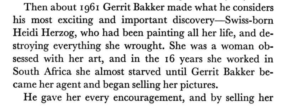Then about 196r Gerrit Bakker made what he considers his most exciting and important discovery-Swiss-born Heidi Herzog, who had been painting all her life, and destroying everything she wrought. She was a woman obsessed with her art, and in the 16 years she worked in South Africa she almost starved until Gerrit Bakker became her agent and began selling her pictures. He gave her every encouragement, and by selling her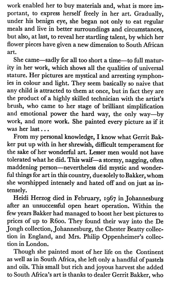work enabled her to buy materials and, what is more important, to express herself freely in her art. Gradually, under his benign eye, she began not only to eat regular meals and live in better surroundings and circumstances, but also, at last, to reveal her startling talent, by which her flower pieces have given a new dimension to South African art,

She came-sadly for all too short a time-to full maturity in her work, which shows all the qualities of universal stature. Her pictures are mystical and arresting symphonies in colour and light. They seem basically so naive that any child is attracted to them at once, but in fact they are the product of a highly skilled technician with the artist's brush, who came to her stage of briliant simplification and emotional power the hard way, the only way-by work, and more work. She painted every picture as if it was her last ...

From my personal knowledge, I know what Gerrit Bakker put up with in her shrewish, difficult temperament for the sake of her wonderful art. Lesser men would not have tolerated what he did. This waif-a stormy, nagging, often maddening person-nevertheless did mystic and wonderful things for art in this country, due solely to Bakler, whom she worshipped intensely and hated off and on just as intensely.

Heidi Herzog died in February, 1967 in Johannesburg after an unsuccessful open heart operation. Within the few years Bakker had managed to boost her best pictures to prices of up to R6oo. They found their way into the De Jongh collection, Johannesburg, the Chester Beatty collection in England, and Mrs. Philip Oppenheimer's collection in London.

Though she painted most of her life on the Continent as well as in South Africa, she left only a handful of pastels and oils. This small but rich and joyous harvest she added to South Africa's art is thanks to dealer Gerrit Bakker. who